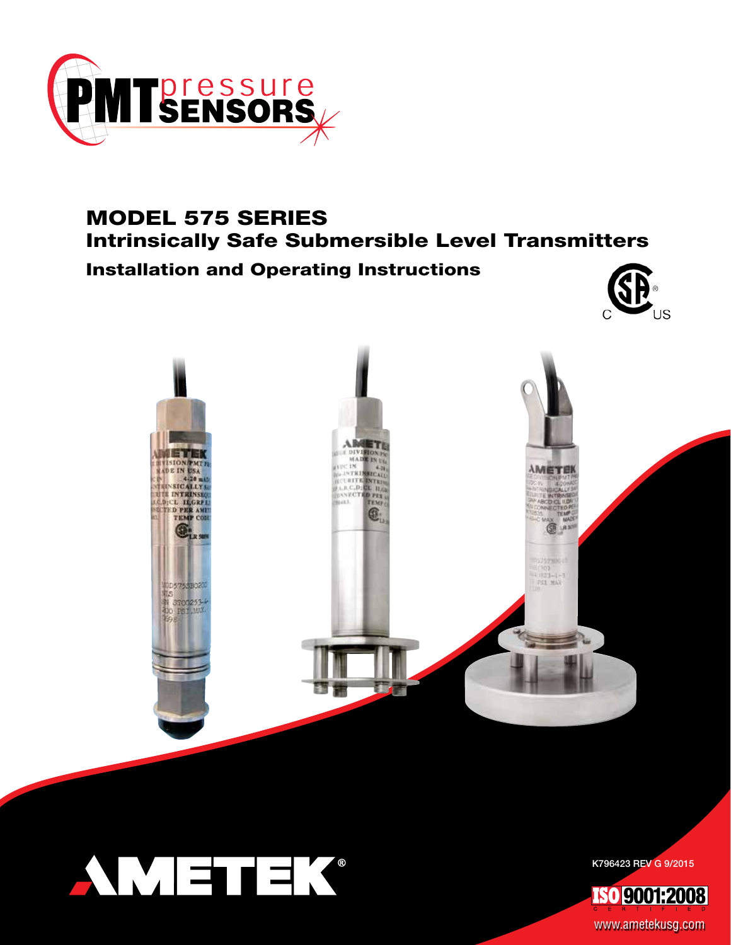

# MODEL 575 SERIES Intrinsically Safe Submersible Level Transmitters Installation and Operating Instructions





K796423 REV G 9/2015

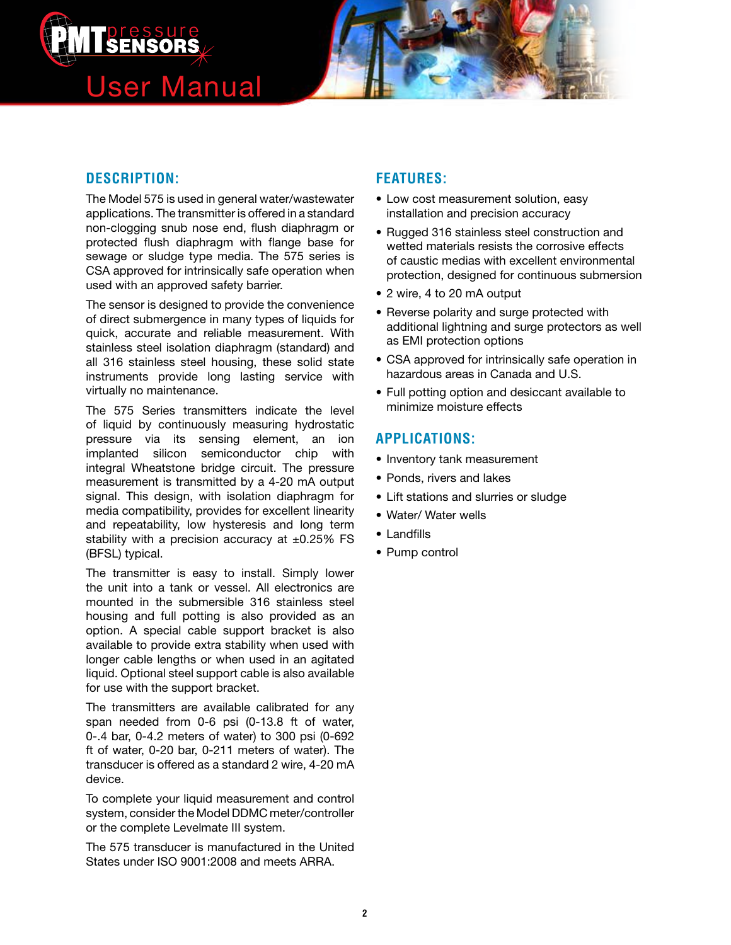



The Model 575 is used in general water/wastewater applications. The transmitter is offered in a standard non-clogging snub nose end, flush diaphragm or protected flush diaphragm with flange base for sewage or sludge type media. The 575 series is CSA approved for intrinsically safe operation when used with an approved safety barrier.

The sensor is designed to provide the convenience of direct submergence in many types of liquids for quick, accurate and reliable measurement. With stainless steel isolation diaphragm (standard) and all 316 stainless steel housing, these solid state instruments provide long lasting service with virtually no maintenance.

The 575 Series transmitters indicate the level of liquid by continuously measuring hydrostatic pressure via its sensing element, an ion implanted silicon semiconductor chip with integral Wheatstone bridge circuit. The pressure measurement is transmitted by a 4-20 mA output signal. This design, with isolation diaphragm for media compatibility, provides for excellent linearity and repeatability, low hysteresis and long term stability with a precision accuracy at  $\pm 0.25\%$  FS (BFSL) typical.

The transmitter is easy to install. Simply lower the unit into a tank or vessel. All electronics are mounted in the submersible 316 stainless steel housing and full potting is also provided as an option. A special cable support bracket is also available to provide extra stability when used with longer cable lengths or when used in an agitated liquid. Optional steel support cable is also available for use with the support bracket.

The transmitters are available calibrated for any span needed from 0-6 psi (0-13.8 ft of water, 0-.4 bar, 0-4.2 meters of water) to 300 psi (0-692 ft of water, 0-20 bar, 0-211 meters of water). The transducer is offered as a standard 2 wire, 4-20 mA device.

To complete your liquid measurement and control system, consider the Model DDMC meter/controller or the complete Levelmate III system.

The 575 transducer is manufactured in the United States under ISO 9001:2008 and meets ARRA.

### **FEATURES:**

- Low cost measurement solution, easy installation and precision accuracy
- Rugged 316 stainless steel construction and wetted materials resists the corrosive effects of caustic medias with excellent environmental protection, designed for continuous submersion
- 2 wire, 4 to 20 mA output
- Reverse polarity and surge protected with additional lightning and surge protectors as well as EMI protection options
- CSA approved for intrinsically safe operation in hazardous areas in Canada and U.S.
- Full potting option and desiccant available to minimize moisture effects

## **APPLICATIONS:**

- Inventory tank measurement
- Ponds, rivers and lakes
- Lift stations and slurries or sludge
- Water/ Water wells
- Landfills
- Pump control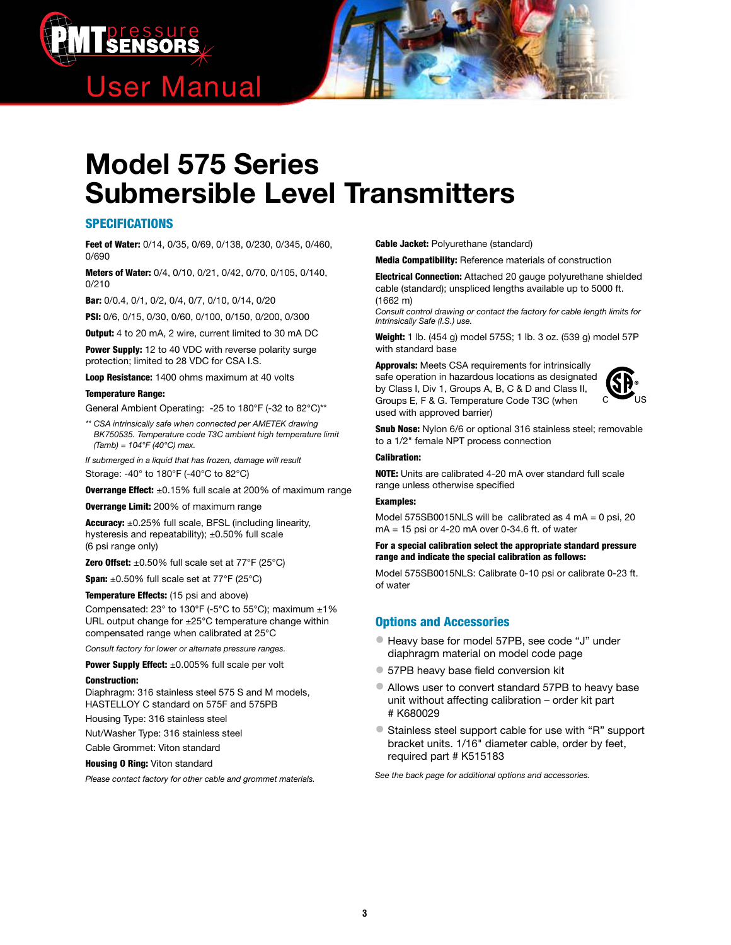

# **Model 575 Series Submersible Level Transmitters**

#### **SPECIFICATIONS**

Feet of Water: 0/14, 0/35, 0/69, 0/138, 0/230, 0/345, 0/460, 0/690

Meters of Water: 0/4, 0/10, 0/21, 0/42, 0/70, 0/105, 0/140, 0/210

Bar: 0/0.4, 0/1, 0/2, 0/4, 0/7, 0/10, 0/14, 0/20

PSI: 0/6, 0/15, 0/30, 0/60, 0/100, 0/150, 0/200, 0/300

**Output:** 4 to 20 mA, 2 wire, current limited to 30 mA DC

Power Supply: 12 to 40 VDC with reverse polarity surge protection; limited to 28 VDC for CSA I.S.

Loop Resistance: 1400 ohms maximum at 40 volts

#### Temperature Range:

General Ambient Operating: -25 to 180°F (-32 to 82°C)\*\*

*\*\* CSA intrinsically safe when connected per AMETEK drawing BK750535. Temperature code T3C ambient high temperature limit (Tamb) = 104°F (40°C) max.* 

*If submerged in a liquid that has frozen, damage will result* Storage: -40° to 180°F (-40°C to 82°C)

Overrange Effect: ±0.15% full scale at 200% of maximum range

**Overrange Limit:** 200% of maximum range

Accuracy: ±0.25% full scale, BFSL (including linearity, hysteresis and repeatability);  $\pm 0.50\%$  full scale (6 psi range only)

Zero Offset:  $\pm 0.50\%$  full scale set at 77°F (25°C)

**Span:**  $\pm 0.50\%$  full scale set at 77°F (25°C)

Temperature Effects: (15 psi and above)

Compensated: 23° to 130°F (-5°C to 55°C); maximum ±1% URL output change for ±25°C temperature change within compensated range when calibrated at 25°C

*Consult factory for lower or alternate pressure ranges.*

Power Supply Effect: ±0.005% full scale per volt

#### Construction:

Diaphragm: 316 stainless steel 575 S and M models, HASTELLOY C standard on 575F and 575PB

Housing Type: 316 stainless steel

Nut/Washer Type: 316 stainless steel

Cable Grommet: Viton standard

#### Housing O Ring: Viton standard

*Please contact factory for other cable and grommet materials.*

**Cable Jacket: Polyurethane (standard)** 

Media Compatibility: Reference materials of construction

Electrical Connection: Attached 20 gauge polyurethane shielded cable (standard); unspliced lengths available up to 5000 ft. (1662 m)

*Consult control drawing or contact the factory for cable length limits for Intrinsically Safe (I.S.) use.*

Weight: 1 lb. (454 g) model 575S; 1 lb. 3 oz. (539 g) model 57P with standard base

Approvals: Meets CSA requirements for intrinsically safe operation in hazardous locations as designated by Class I, Div 1, Groups A, B, C & D and Class II, Groups E, F & G. Temperature Code T3C (when used with approved barrier)



Snub Nose: Nylon 6/6 or optional 316 stainless steel; removable to a 1/2" female NPT process connection

#### Calibration:

NOTE: Units are calibrated 4-20 mA over standard full scale range unless otherwise specified

#### Examples:

Model 575SB0015NLS will be calibrated as 4 mA = 0 psi, 20  $mA = 15$  psi or 4-20 mA over 0-34.6 ft. of water

#### For a special calibration select the appropriate standard pressure range and indicate the special calibration as follows:

Model 575SB0015NLS: Calibrate 0-10 psi or calibrate 0-23 ft. of water

#### Options and Accessories

- Heavy base for model 57PB, see code "J" under Heavy base for model 57PB, see code "J" under diaphragm material on model code page diaphragm material on model code page
- 57PB heavy base field conversion kit 57PB heavy base field conversion kit
- Allows user to convert standard 57PB to heavy base Allows user to convert standard 57PB to heavy base unit without affecting calibration – order kit part unit without affecting calibration – order kit part # K680029 # K680029
- Stainless steel support cable for use with "R" support •Stainless steel support cable for use with "R" support bracket units. 1/16" diameter cable, order by feet, bracket units. 1/16" diameter cable, order by feet, required part # K515183 required part # K515183

*See the back page for additional options and accessories. See the back page for additional options and accessories.*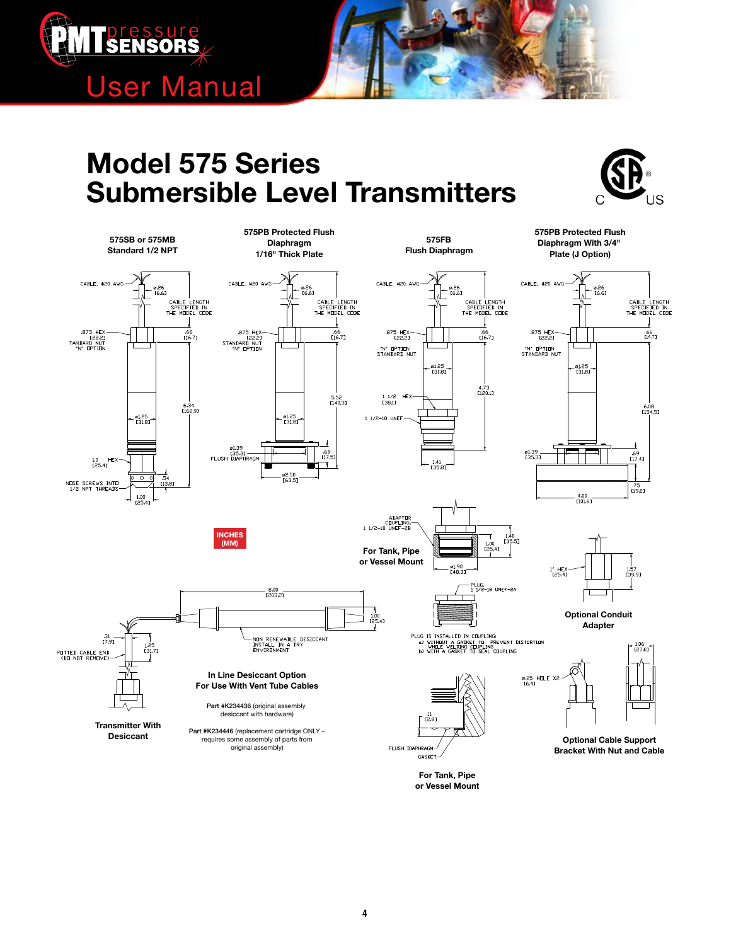

# **Model 575 Series Submersible Level Transmitters**





**or Vessel Mount**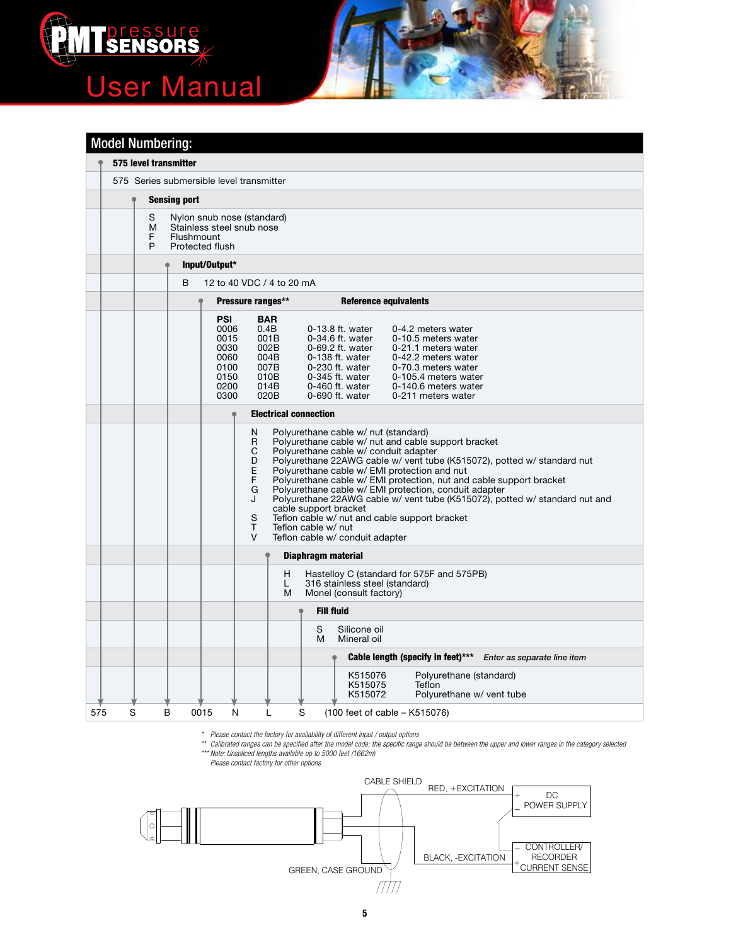

| <b>Model Numbering:</b> |                       |                                      |                                                                            |                                                                            |                                                                                                                                                           |                                                                                                                                                                                                                                                                                                                                                                                                                                                |  |  |
|-------------------------|-----------------------|--------------------------------------|----------------------------------------------------------------------------|----------------------------------------------------------------------------|-----------------------------------------------------------------------------------------------------------------------------------------------------------|------------------------------------------------------------------------------------------------------------------------------------------------------------------------------------------------------------------------------------------------------------------------------------------------------------------------------------------------------------------------------------------------------------------------------------------------|--|--|
|                         | 575 level transmitter |                                      |                                                                            |                                                                            |                                                                                                                                                           |                                                                                                                                                                                                                                                                                                                                                                                                                                                |  |  |
|                         |                       |                                      | 575 Series submersible level transmitter                                   |                                                                            |                                                                                                                                                           |                                                                                                                                                                                                                                                                                                                                                                                                                                                |  |  |
|                         |                       | Sensing port                         |                                                                            |                                                                            |                                                                                                                                                           |                                                                                                                                                                                                                                                                                                                                                                                                                                                |  |  |
|                         | S<br>M<br>F<br>P      | <b>Flushmount</b><br>Protected flush | Nylon snub nose (standard)<br>Stainless steel snub nose                    |                                                                            |                                                                                                                                                           |                                                                                                                                                                                                                                                                                                                                                                                                                                                |  |  |
|                         |                       | Input/Output*                        |                                                                            |                                                                            |                                                                                                                                                           |                                                                                                                                                                                                                                                                                                                                                                                                                                                |  |  |
|                         |                       | B                                    |                                                                            | 12 to 40 VDC / 4 to 20 mA                                                  |                                                                                                                                                           |                                                                                                                                                                                                                                                                                                                                                                                                                                                |  |  |
|                         |                       |                                      | Pressure ranges**                                                          | Reference equivalents                                                      |                                                                                                                                                           |                                                                                                                                                                                                                                                                                                                                                                                                                                                |  |  |
|                         |                       |                                      | <b>PSI</b><br>0006<br>0015<br>0030<br>0060<br>0100<br>0150<br>0200<br>0300 | <b>BAR</b><br>0.4B<br>001B<br>002B<br>004B<br>007B<br>010B<br>014B<br>020B | 0-13.8 ft. water<br>0-34.6 ft. water<br>0-69.2 ft. water<br>0-138 ft. water<br>0-230 ft. water<br>$0-345$ ft. water<br>0-460 ft. water<br>0-690 ft. water | 0-4.2 meters water<br>0-10.5 meters water<br>0-21.1 meters water<br>0-42.2 meters water<br>0-70.3 meters water<br>0-105.4 meters water<br>0-140.6 meters water<br>0-211 meters water                                                                                                                                                                                                                                                           |  |  |
|                         |                       |                                      |                                                                            | <b>Electrical connection</b>                                               |                                                                                                                                                           |                                                                                                                                                                                                                                                                                                                                                                                                                                                |  |  |
|                         |                       |                                      | N<br>R<br>C<br>D<br>E<br>F<br>G<br>J<br>S<br>T<br>$\vee$                   | cable support bracket<br>Teflon cable w/ nut                               | Polyurethane cable w/ nut (standard)<br>Polyurethane cable w/ conduit adapter<br>Teflon cable w/ conduit adapter                                          | Polyurethane cable w/ nut and cable support bracket<br>Polyurethane 22AWG cable w/ vent tube (K515072), potted w/ standard nut<br>Polyurethane cable w/ EMI protection and nut<br>Polyurethane cable w/ EMI protection, nut and cable support bracket<br>Polyurethane cable w/ EMI protection, conduit adapter<br>Polyurethane 22AWG cable w/ vent tube (K515072), potted w/ standard nut and<br>Teflon cable w/ nut and cable support bracket |  |  |
|                         | Diaphragm material    |                                      |                                                                            |                                                                            |                                                                                                                                                           |                                                                                                                                                                                                                                                                                                                                                                                                                                                |  |  |
|                         |                       |                                      |                                                                            | H<br>L<br>м                                                                | 316 stainless steel (standard)<br>Monel (consult factory)                                                                                                 | Hastelloy C (standard for 575F and 575PB)                                                                                                                                                                                                                                                                                                                                                                                                      |  |  |
|                         |                       |                                      |                                                                            |                                                                            | <b>Fill fluid</b>                                                                                                                                         |                                                                                                                                                                                                                                                                                                                                                                                                                                                |  |  |
|                         |                       |                                      |                                                                            | S<br>M                                                                     | Silicone oil<br>Mineral oil                                                                                                                               |                                                                                                                                                                                                                                                                                                                                                                                                                                                |  |  |
|                         |                       |                                      |                                                                            |                                                                            |                                                                                                                                                           | Cable length (specify in feet)***<br>Enter as separate line item                                                                                                                                                                                                                                                                                                                                                                               |  |  |
|                         |                       |                                      |                                                                            |                                                                            | K515076<br>K515075<br>K515072                                                                                                                             | Polyurethane (standard)<br>Teflon<br>Polyurethane w/ vent tube                                                                                                                                                                                                                                                                                                                                                                                 |  |  |
| 575<br>S                | В                     | 0015                                 | N                                                                          | S<br>L                                                                     |                                                                                                                                                           | $(100 \text{ feet of cable} - K515076)$                                                                                                                                                                                                                                                                                                                                                                                                        |  |  |

*\* Please contact the factory for availability of different input / output options*

*\*\* Calibrated ranges can be specified after the model code; the specific range should be between the upper and lower ranges in the category selected \*\*\* Note: Unspliced lengths available up to 5000 feet (1662m)* EXAMPLE: TO SPECIFY OF SPECIFY OF SUBMITHTY OF COMPLETE WITH 12-40 VDC INDUCTS.<br>The specific with 12-40 VDC in the measure 15 PSI having and 4-20 PSI having and 4-20 page of the second and 4standard numbers can be operated anter ure involuted outer, the specific range should be between the upper and lower h<br>\*\*\* Note: I looplised locative emileble us to EOOO foot (1.600m)

*Please contact factory for other options* 



REQUIRES ONE MODEL CODE POSITION, ie 1.08=4 POSITIONS.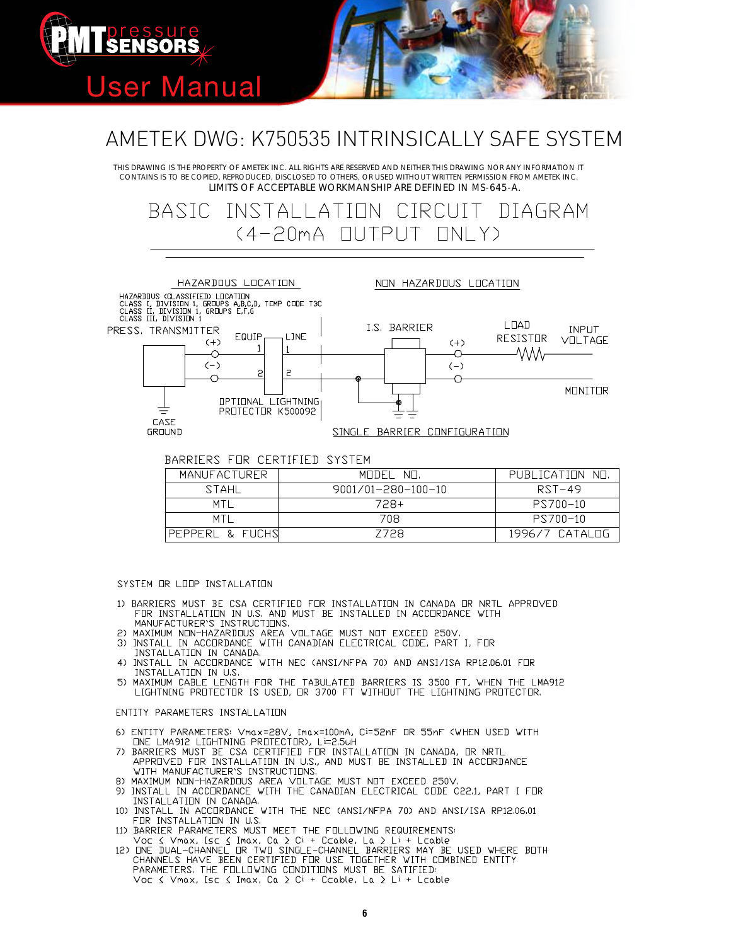

# 3 4 AMETEK DWG: K750535 INTRINSICALLY SAFE SYSTEM

THIS DRAWING IS THE PROPERTY OF AMETEK INC. ALL RIGHTS ARE RESERVED AND NEITHER THIS DRAWING NOR ANY INFORMATION IT CONTAINS IS TO BE COPIED, REPRODUCED, DISCLOSED TO OTHERS, OR USED WITHOUT WRITTEN PERMISSION FROM AMETEK INC. LIMITS OF ACCEPTABLE WORKMANSHIP ARE DEFINED IN MS-645-A.

#### INSTALLATION CIRCUIT DIAGRAM BASIC. (4-20mA OUTPUT ONLY)



#### BARRIERS FOR CERTIFIED SYSTEM

| <b>MANUFACTURFR</b> | MODEL NO.          | PUBLICATION NO. |
|---------------------|--------------------|-----------------|
| <b>STAHL</b>        | 9001/01-280-100-10 | RST-49          |
| MTI                 | 728+               | PS700-10        |
| <b>MTI</b>          | 708                | PS700-10        |
| PEPPERL & FUCHS     | 7728               | 1996/7 CATALOG  |

#### SYSTEM OR LOOP INSTALLATION

- 1) BARRIERS MUST BE CSA CERTIFIED FOR INSTALLATION IN CANADA OR NRTL APPROVED FOR INSTALLATION IN U.S. AND MUST BE INSTALLED IN ACCORDANCE WITH<br>MANUFACTURER'S INSTRUCTIONS.<br>2) MAXIMUM NON-HAZARDOUS AREA VOLTAGE MUST NOT EXCEED 250V.<br>3) INSTALL IN ACCORDANCE WITH CANADIAN ELECTRICAL CODE, PART I, FOR
- 
- INSTALLATION IN CANADA.
- 
- THE TIME OF THE CORDANGE WITH NEC (ANSI/NFPA 70) AND ANSI/ISA RP12.06.01 FOR<br>INSTALLATION IN U.S.<br>5) MAXIMUM CABLE LENGTH FOR THE TABULATED BARRIERS IS 3500 FT, WHEN THE LMA912<br>LIGHTNING PROTECTOR IS USED, OR 3700 FT WITHO

ENTITY PARAMETERS INSTALLATION

- i i
- WITH MANUFACTURER'S INSTRUCTIONS,
- 
- 8) MAXIMUM NDN-HAZARDOUS AREA VOLTAGE MUST NOT EXCEED 250V.<br>9) INSTALL IN ACCORDANCE WITH THE CANADIAN ELECTRICAL CODE C22.1, PART I FOR INSTALLATION IN CANADA.<br>10) INSTALLATION IN CANADA.<br>10) INSTALL IN ACCORDANCE WITH THE NEC (ANSI/NFPA 70) AND ANSI/ISA RP12.06.01
- 
- i + C⊂able, La > Li
- i + C⊂able, La ≥ Li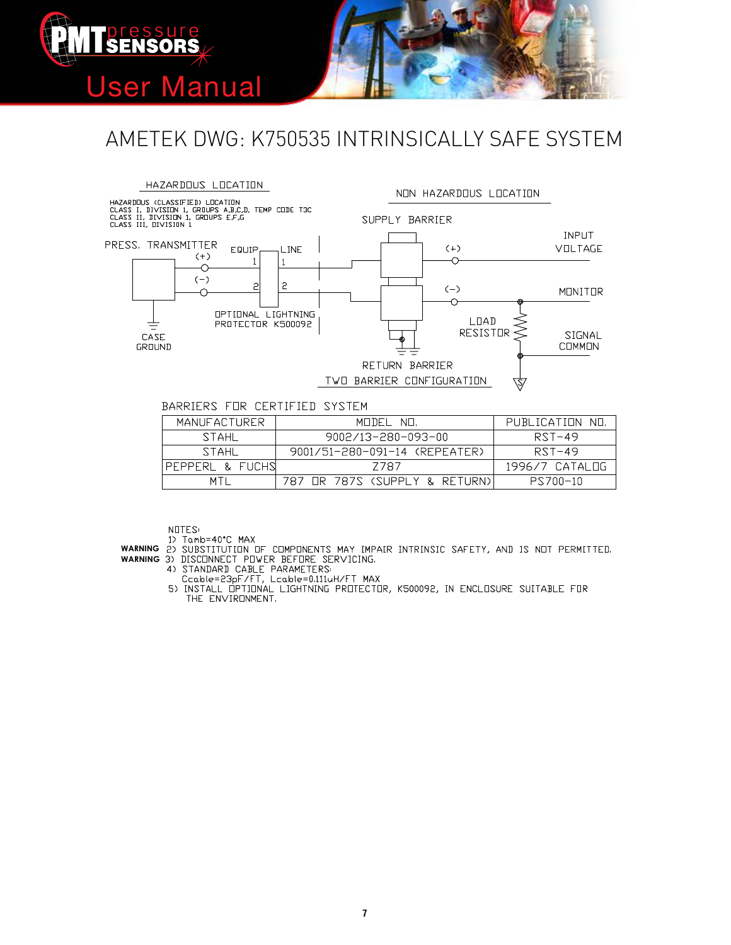

# AMETEK DWG: K750535 INTRINSICALLY SAFE SYSTEM



#### BARRIERS FOR CERTIFIED SYSTEM

| MANUFACTURFR    | MODEL NO.                     | PUBLICATION NO. |
|-----------------|-------------------------------|-----------------|
| <b>STAHL</b>    | 9002/13-280-093-00            | RST-49          |
| STAHL           | 9001/51-280-091-14 (REPEATER) | RST-49          |
| PEPPERL & FUCHS | 7787                          | 1996/7 CATAL NG |
| MTI             | 787 NR 787S (SUPPLY & RETURN) | PS700-10        |

**NOTES** 

1) Tamb=40°C MAX

1) NEW-TO THE COMPONENTS MAY IMPAIR INTRINSIC SAFETY, AND IS NOT PERMITTED.<br>3) DISCONNECT POWER BEFORE SERVICING.<br>4) STANDARD CABLE PARAMETERS: **WARNING WARNING**

- 
- 
- Ccable=23pF/FT, Lcable=0.111uH/FT MAX<br>5) INSTALL OPTIONAL LIGHTNING PROTECTOR, K500092, IN ENCLOSURE SUITABLE FOR THE ENVIRONMENT.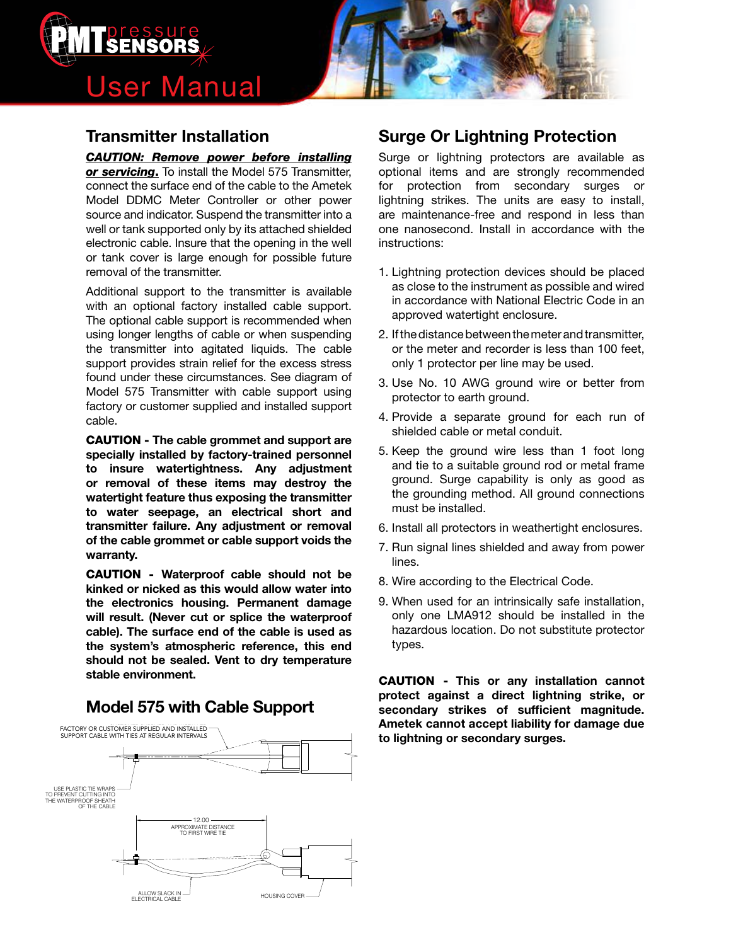



# **Transmitter Installation**

#### *CAUTION: Remove power before installing*

*or servicing*. To install the Model 575 Transmitter, connect the surface end of the cable to the Ametek Model DDMC Meter Controller or other power source and indicator. Suspend the transmitter into a well or tank supported only by its attached shielded electronic cable. Insure that the opening in the well or tank cover is large enough for possible future removal of the transmitter.

Additional support to the transmitter is available with an optional factory installed cable support. The optional cable support is recommended when using longer lengths of cable or when suspending the transmitter into agitated liquids. The cable support provides strain relief for the excess stress found under these circumstances. See diagram of Model 575 Transmitter with cable support using factory or customer supplied and installed support cable.

shield<br>CAUTION - The cable grommet and support are specially installed by factory-trained personnel **to insure watertightness. Any adjustment** or removal of these items may destroy the watertight feature thus exposing the transmitter **to water seepage, an electrical short and hore into and the transmitter into a water seepage, an electrical short and must be installed. transmitter failure. Any adjustment or removal** of the cable grommet or cable support voids the *warranty.* 

**CAUTION** - Waterproof cable should not be a *Mire assorting to the Electric* kinked or nicked as this would allow water into the electronics housing. Permanent damage will result. (Never cut or splice the waterproof cable). The surface end of the cable is used as **the system's atmospheric reference, this end strain relief for the system's atmospheric reference, this end strain relief on the system's atmospheric reference, this end** should not be sealed. Vent to dry temperature stable environment.

## **Model 575 with Cable Support** sec



## **Surge Or Lightning Protection**

Surge or lightning protectors are available as optional items and are strongly recommended for protection from secondary surges or lightning strikes. The units are easy to install, are maintenance-free and respond in less than one nanosecond. Install in accordance with the instructions:

- 1. Lightning protection devices should be placed as close to the instrument as possible and wired in accordance with National Electric Code in an approved watertight enclosure.
- 2. If the distance between the meter and transmitter, or the meter and recorder is less than 100 feet, only 1 protector per line may be used.
- 3. Use No. 10 AWG ground wire or better from protector to earth ground.
- 4. Provide a separate ground for each run of shielded cable or metal conduit.
- 5. Keep the ground wire less than 1 foot long **Example 19 And the caution of the caution of the caution of the caution of the caution of the caution of the caution of the caution of the caution of the caution of the caution of the caution of the caution of the caution** adjustment<br>**destroy the** ground. Surge capability is only as good as **the grounding method. All ground connections these integrounding method.** All ground connections **mainstructure installed.**<br>**short** and must be installed.
- or removal 6. Install all protectors in weathertight enclosures.
- **Prt voids the lack** 7. Run signal lines shielded and away from power lines.
- **und not be** 8. Wire according to the Electrical Code.
- **nt damage** 9. When used for an intrinsically safe installation, waterproof only one LMA912 should be installed in the **is used as** hazardous location. Do not substitute protector types.

CAUTION - **This or any installation cannot protect against a direct lightning strike, or secondary strikes of sufficient magnitude. Ametek cannot accept liability for damage due to lightning or secondary surges.**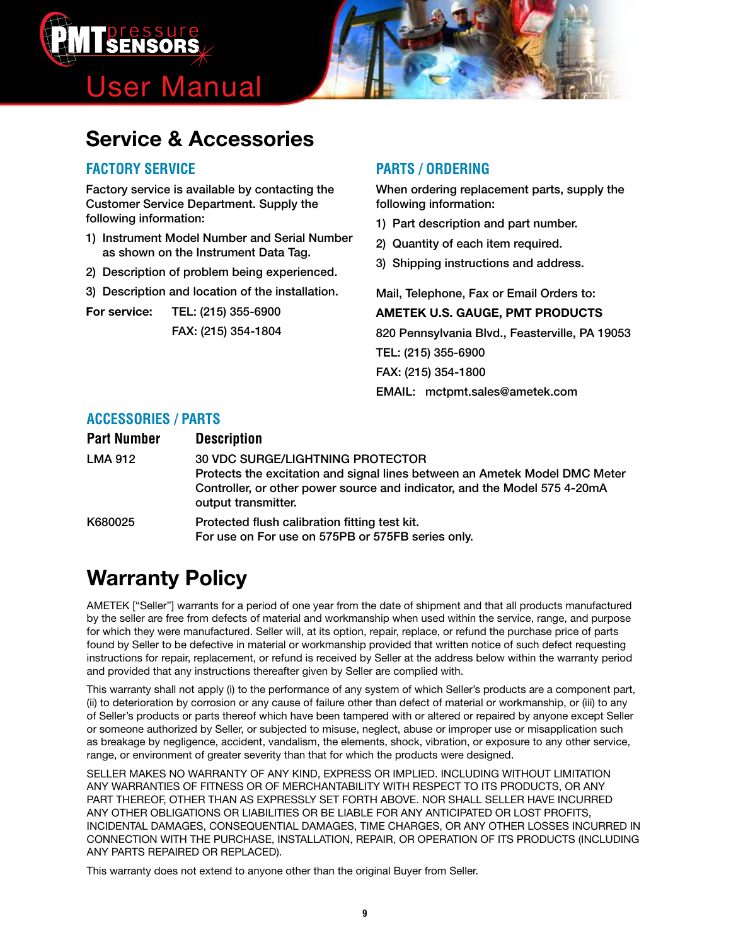



# **Service & Accessories**

### **FACTORY SERVICE**

Factory service is available by contacting the Customer Service Department. Supply the following information:

- 1) Instrument Model Number and Serial Number as shown on the Instrument Data Tag.
- 2) Description of problem being experienced.

3) Description and location of the installation.

**For service:** TEL: (215) 355-6900

FAX: (215) 354-1804

## **PARTS / ORDERING**

When ordering replacement parts, supply the following information:

- 1) Part description and part number.
- 2) Quantity of each item required.
- 3) Shipping instructions and address.

Mail, Telephone, Fax or Email Orders to:

#### **AMETEK U.S. GAUGE, PMT PRODUCTS**

820 Pennsylvania Blvd., Feasterville, PA 19053

TEL: (215) 355-6900

FAX: (215) 354-1800

EMAIL: mctpmt.sales@ametek.com

### **ACCESSORIES / PARTS**

| <b>Part Number</b> | <b>Description</b>                                                                                                                                                                                                        |
|--------------------|---------------------------------------------------------------------------------------------------------------------------------------------------------------------------------------------------------------------------|
| <b>LMA 912</b>     | <b>30 VDC SURGE/LIGHTNING PROTECTOR</b><br>Protects the excitation and signal lines between an Ametek Model DMC Meter<br>Controller, or other power source and indicator, and the Model 575 4-20mA<br>output transmitter. |
| K680025            | Protected flush calibration fitting test kit.<br>For use on For use on 575PB or 575FB series only.                                                                                                                        |

# **Warranty Policy**

AMETEK ["Seller"] warrants for a period of one year from the date of shipment and that all products manufactured by the seller are free from defects of material and workmanship when used within the service, range, and purpose for which they were manufactured. Seller will, at its option, repair, replace, or refund the purchase price of parts found by Seller to be defective in material or workmanship provided that written notice of such defect requesting instructions for repair, replacement, or refund is received by Seller at the address below within the warranty period and provided that any instructions thereafter given by Seller are complied with.

This warranty shall not apply (i) to the performance of any system of which Seller's products are a component part, (ii) to deterioration by corrosion or any cause of failure other than defect of material or workmanship, or (iii) to any of Seller's products or parts thereof which have been tampered with or altered or repaired by anyone except Seller or someone authorized by Seller, or subjected to misuse, neglect, abuse or improper use or misapplication such as breakage by negligence, accident, vandalism, the elements, shock, vibration, or exposure to any other service, range, or environment of greater severity than that for which the products were designed.

SELLER MAKES NO WARRANTY OF ANY KIND, EXPRESS OR IMPLIED. INCLUDING WITHOUT LIMITATION ANY WARRANTIES OF FITNESS OR OF MERCHANTABILITY WITH RESPECT TO ITS PRODUCTS, OR ANY PART THEREOF, OTHER THAN AS EXPRESSLY SET FORTH ABOVE. NOR SHALL SELLER HAVE INCURRED ANY OTHER OBLIGATIONS OR LIABILITIES OR BE LIABLE FOR ANY ANTICIPATED OR LOST PROFITS, INCIDENTAL DAMAGES, CONSEQUENTIAL DAMAGES, TIME CHARGES, OR ANY OTHER LOSSES INCURRED IN CONNECTION WITH THE PURCHASE, INSTALLATION, REPAIR, OR OPERATION OF ITS PRODUCTS (INCLUDING ANY PARTS REPAIRED OR REPLACED).

This warranty does not extend to anyone other than the original Buyer from Seller.